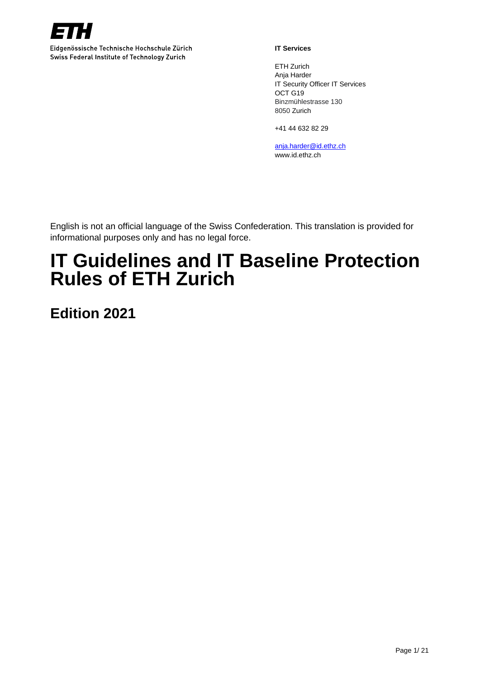

Eidgenössische Technische Hochschule Zürich Swiss Federal Institute of Technology Zurich

#### **IT Services**

ETH Zurich Anja Harder IT Security Officer IT Services OCT G19 Binzmühlestrasse 130 8050 Zurich

+41 44 632 82 29

[anja.harder@id.ethz.ch](mailto:anja.harder@id.ethz.ch) www.id.ethz.ch

English is not an official language of the Swiss Confederation. This translation is provided for informational purposes only and has no legal force.

# **IT Guidelines and IT Baseline Protection Rules of ETH Zurich**

**Edition 2021**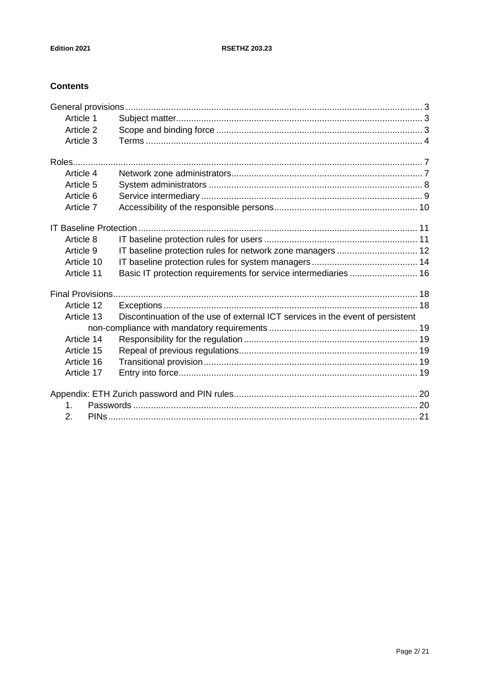# **Contents**

| Article 1               |                                                                                |  |
|-------------------------|--------------------------------------------------------------------------------|--|
| Article 2               |                                                                                |  |
| Article 3               |                                                                                |  |
| Roles                   |                                                                                |  |
| Article 4               |                                                                                |  |
| Article 5               |                                                                                |  |
| Article 6               |                                                                                |  |
| Article 7               |                                                                                |  |
|                         |                                                                                |  |
| Article 8               |                                                                                |  |
| Article 9               |                                                                                |  |
| Article 10              |                                                                                |  |
| Article 11              | Basic IT protection requirements for service intermediaries  16                |  |
| <b>Final Provisions</b> |                                                                                |  |
| Article 12              |                                                                                |  |
| Article 13              | Discontinuation of the use of external ICT services in the event of persistent |  |
|                         |                                                                                |  |
| Article 14              |                                                                                |  |
| Article 15              |                                                                                |  |
| Article 16              |                                                                                |  |
| Article 17              |                                                                                |  |
|                         |                                                                                |  |
| $\mathbf 1$             |                                                                                |  |
| 2.                      |                                                                                |  |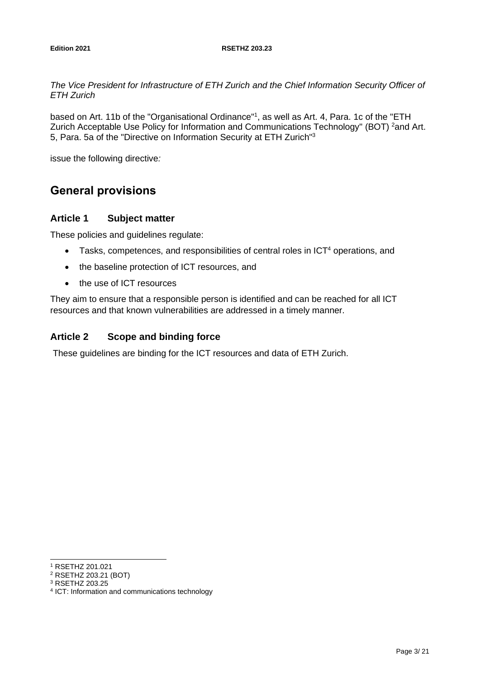#### **Edition 2021 RSETHZ 203.23**

*The Vice President for Infrastructure of ETH Zurich and the Chief Information Security Officer of ETH Zurich* 

based on Art. 11b of the "Organisational Ordinance"<sup>1</sup>, as well as Art. 4, Para. 1c of the "ETH Zurich Acceptable Use Policy for Information and Communications Technology" (BOT) <sup>2</sup>and Art. 5, Para. 5a of the "Directive on Information Security at ETH Zurich"<sup>3</sup>

issue the following directive*:*

# <span id="page-2-0"></span>**General provisions**

### <span id="page-2-1"></span>**Article 1 Subject matter**

These policies and guidelines regulate:

- Tasks, competences, and responsibilities of central roles in ICT<sup>4</sup> operations, and
- the baseline protection of ICT resources, and
- the use of ICT resources

They aim to ensure that a responsible person is identified and can be reached for all ICT resources and that known vulnerabilities are addressed in a timely manner.

### <span id="page-2-2"></span>**Article 2 Scope and binding force**

These guidelines are binding for the ICT resources and data of ETH Zurich.

<sup>3</sup> RSETHZ 203.25

<sup>1</sup> RSETHZ 201.021

<sup>2</sup> RSETHZ 203.21 (BOT)

<sup>4</sup> ICT: Information and communications technology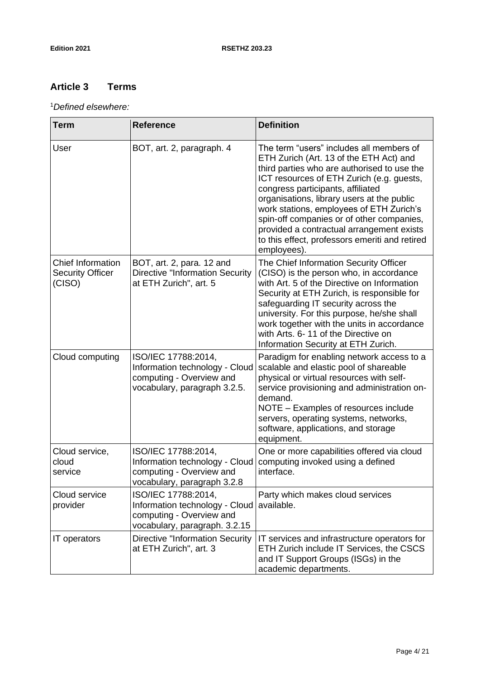$\overline{a}$ 

# <span id="page-3-0"></span>**Article 3 Terms**

#### <sup>1</sup>*Defined elsewhere:*

| <b>Term</b>                                                   | <b>Reference</b>                                                                                                   | <b>Definition</b>                                                                                                                                                                                                                                                                                                                                                                                                                                                         |
|---------------------------------------------------------------|--------------------------------------------------------------------------------------------------------------------|---------------------------------------------------------------------------------------------------------------------------------------------------------------------------------------------------------------------------------------------------------------------------------------------------------------------------------------------------------------------------------------------------------------------------------------------------------------------------|
| User                                                          | BOT, art. 2, paragraph. 4                                                                                          | The term "users" includes all members of<br>ETH Zurich (Art. 13 of the ETH Act) and<br>third parties who are authorised to use the<br>ICT resources of ETH Zurich (e.g. guests,<br>congress participants, affiliated<br>organisations, library users at the public<br>work stations, employees of ETH Zurich's<br>spin-off companies or of other companies,<br>provided a contractual arrangement exists<br>to this effect, professors emeriti and retired<br>employees). |
| <b>Chief Information</b><br><b>Security Officer</b><br>(CISO) | BOT, art. 2, para. 12 and<br><b>Directive "Information Security</b><br>at ETH Zurich", art. 5                      | The Chief Information Security Officer<br>(CISO) is the person who, in accordance<br>with Art. 5 of the Directive on Information<br>Security at ETH Zurich, is responsible for<br>safeguarding IT security across the<br>university. For this purpose, he/she shall<br>work together with the units in accordance<br>with Arts. 6-11 of the Directive on<br>Information Security at ETH Zurich.                                                                           |
| Cloud computing                                               | ISO/IEC 17788:2014,<br>Information technology - Cloud<br>computing - Overview and<br>vocabulary, paragraph 3.2.5.  | Paradigm for enabling network access to a<br>scalable and elastic pool of shareable<br>physical or virtual resources with self-<br>service provisioning and administration on-<br>demand.<br>NOTE - Examples of resources include<br>servers, operating systems, networks,<br>software, applications, and storage<br>equipment.                                                                                                                                           |
| Cloud service,<br>cloud<br>service                            | ISO/IEC 17788:2014,<br>Information technology - Cloud<br>computing - Overview and<br>vocabulary, paragraph 3.2.8   | One or more capabilities offered via cloud<br>computing invoked using a defined<br>interface.                                                                                                                                                                                                                                                                                                                                                                             |
| Cloud service<br>provider                                     | ISO/IEC 17788:2014,<br>Information technology - Cloud<br>computing - Overview and<br>vocabulary, paragraph. 3.2.15 | Party which makes cloud services<br>available.                                                                                                                                                                                                                                                                                                                                                                                                                            |
| IT operators                                                  | <b>Directive "Information Security</b><br>at ETH Zurich", art. 3                                                   | IT services and infrastructure operators for<br>ETH Zurich include IT Services, the CSCS<br>and IT Support Groups (ISGs) in the<br>academic departments.                                                                                                                                                                                                                                                                                                                  |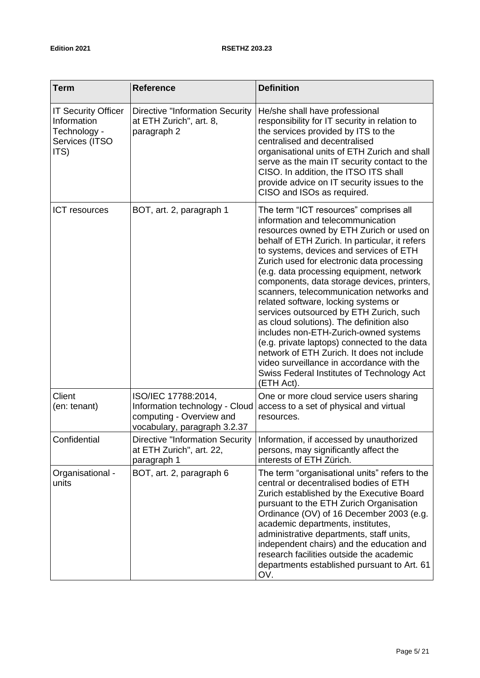| <b>Term</b>                                                                         | <b>Reference</b>                                                                                                  | <b>Definition</b>                                                                                                                                                                                                                                                                                                                                                                                                                                                                                                                                                                                                                                                                                                                                                                        |
|-------------------------------------------------------------------------------------|-------------------------------------------------------------------------------------------------------------------|------------------------------------------------------------------------------------------------------------------------------------------------------------------------------------------------------------------------------------------------------------------------------------------------------------------------------------------------------------------------------------------------------------------------------------------------------------------------------------------------------------------------------------------------------------------------------------------------------------------------------------------------------------------------------------------------------------------------------------------------------------------------------------------|
| <b>IT Security Officer</b><br>Information<br>Technology -<br>Services (ITSO<br>ITS) | <b>Directive "Information Security</b><br>at ETH Zurich", art. 8,<br>paragraph 2                                  | He/she shall have professional<br>responsibility for IT security in relation to<br>the services provided by ITS to the<br>centralised and decentralised<br>organisational units of ETH Zurich and shall<br>serve as the main IT security contact to the<br>CISO. In addition, the ITSO ITS shall<br>provide advice on IT security issues to the<br>CISO and ISOs as required.                                                                                                                                                                                                                                                                                                                                                                                                            |
| <b>ICT</b> resources                                                                | BOT, art. 2, paragraph 1                                                                                          | The term "ICT resources" comprises all<br>information and telecommunication<br>resources owned by ETH Zurich or used on<br>behalf of ETH Zurich. In particular, it refers<br>to systems, devices and services of ETH<br>Zurich used for electronic data processing<br>(e.g. data processing equipment, network<br>components, data storage devices, printers,<br>scanners, telecommunication networks and<br>related software, locking systems or<br>services outsourced by ETH Zurich, such<br>as cloud solutions). The definition also<br>includes non-ETH-Zurich-owned systems<br>(e.g. private laptops) connected to the data<br>network of ETH Zurich. It does not include<br>video surveillance in accordance with the<br>Swiss Federal Institutes of Technology Act<br>(ETH Act). |
| Client<br>(en: tenant)                                                              | ISO/IEC 17788:2014,<br>Information technology - Cloud<br>computing - Overview and<br>vocabulary, paragraph 3.2.37 | One or more cloud service users sharing<br>access to a set of physical and virtual<br>resources.                                                                                                                                                                                                                                                                                                                                                                                                                                                                                                                                                                                                                                                                                         |
| Confidential                                                                        | at ETH Zurich", art. 22,<br>paragraph 1                                                                           | Directive "Information Security   Information, if accessed by unauthorized<br>persons, may significantly affect the<br>interests of ETH Zürich.                                                                                                                                                                                                                                                                                                                                                                                                                                                                                                                                                                                                                                          |
| Organisational -<br>units                                                           | BOT, art. 2, paragraph 6                                                                                          | The term "organisational units" refers to the<br>central or decentralised bodies of ETH<br>Zurich established by the Executive Board<br>pursuant to the ETH Zurich Organisation<br>Ordinance (OV) of 16 December 2003 (e.g.<br>academic departments, institutes,<br>administrative departments, staff units,<br>independent chairs) and the education and<br>research facilities outside the academic<br>departments established pursuant to Art. 61<br>OV.                                                                                                                                                                                                                                                                                                                              |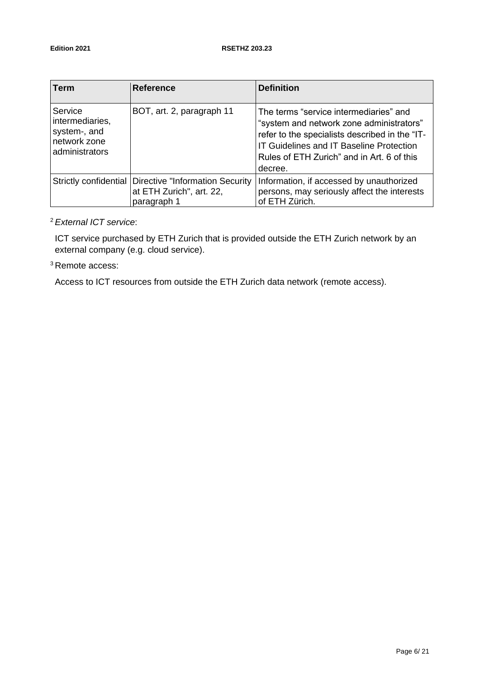| <b>Term</b>                                                                  | <b>Reference</b>                                                                                    | <b>Definition</b>                                                                                                                                                                                                                                |
|------------------------------------------------------------------------------|-----------------------------------------------------------------------------------------------------|--------------------------------------------------------------------------------------------------------------------------------------------------------------------------------------------------------------------------------------------------|
| Service<br>intermediaries,<br>system-, and<br>network zone<br>administrators | BOT, art. 2, paragraph 11                                                                           | The terms "service intermediaries" and<br>"system and network zone administrators"<br>refer to the specialists described in the "IT-<br><b>IT Guidelines and IT Baseline Protection</b><br>Rules of ETH Zurich" and in Art. 6 of this<br>decree. |
|                                                                              | Strictly confidential   Directive "Information Security"<br>at ETH Zurich", art. 22,<br>paragraph 1 | Information, if accessed by unauthorized<br>persons, may seriously affect the interests<br>of ETH Zürich.                                                                                                                                        |

# <sup>2</sup>*External ICT service*:

ICT service purchased by ETH Zurich that is provided outside the ETH Zurich network by an external company (e.g. cloud service).

<sup>3</sup> Remote access:

Access to ICT resources from outside the ETH Zurich data network (remote access).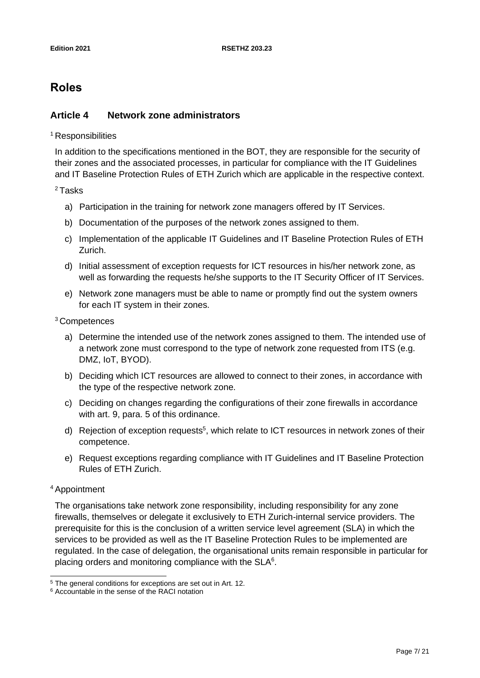# <span id="page-6-0"></span>**Roles**

# <span id="page-6-1"></span>**Article 4 Network zone administrators**

<sup>1</sup> Responsibilities

In addition to the specifications mentioned in the BOT, they are responsible for the security of their zones and the associated processes, in particular for compliance with the IT Guidelines and IT Baseline Protection Rules of ETH Zurich which are applicable in the respective context.

<sup>2</sup>Tasks

- a) Participation in the training for network zone managers offered by IT Services.
- b) Documentation of the purposes of the network zones assigned to them.
- c) Implementation of the applicable IT Guidelines and IT Baseline Protection Rules of ETH Zurich.
- d) Initial assessment of exception requests for ICT resources in his/her network zone, as well as forwarding the requests he/she supports to the IT Security Officer of IT Services.
- e) Network zone managers must be able to name or promptly find out the system owners for each IT system in their zones.

<sup>3</sup>Competences

- a) Determine the intended use of the network zones assigned to them. The intended use of a network zone must correspond to the type of network zone requested from ITS (e.g. DMZ, IoT, BYOD).
- b) Deciding which ICT resources are allowed to connect to their zones, in accordance with the type of the respective network zone.
- c) Deciding on changes regarding the configurations of their zone firewalls in accordance with art. 9, para. 5 of this ordinance.
- d) Rejection of exception requests<sup>5</sup>, which relate to ICT resources in network zones of their competence.
- e) Request exceptions regarding compliance with IT Guidelines and IT Baseline Protection Rules of ETH Zurich.

#### <sup>4</sup>Appointment

The organisations take network zone responsibility, including responsibility for any zone firewalls, themselves or delegate it exclusively to ETH Zurich-internal service providers. The prerequisite for this is the conclusion of a written service level agreement (SLA) in which the services to be provided as well as the IT Baseline Protection Rules to be implemented are regulated. In the case of delegation, the organisational units remain responsible in particular for placing orders and monitoring compliance with the  $SLA<sup>6</sup>$ .

<sup>&</sup>lt;sup>5</sup> The general conditions for exceptions are set out in Art. 12.

<sup>6</sup> Accountable in the sense of the RACI notation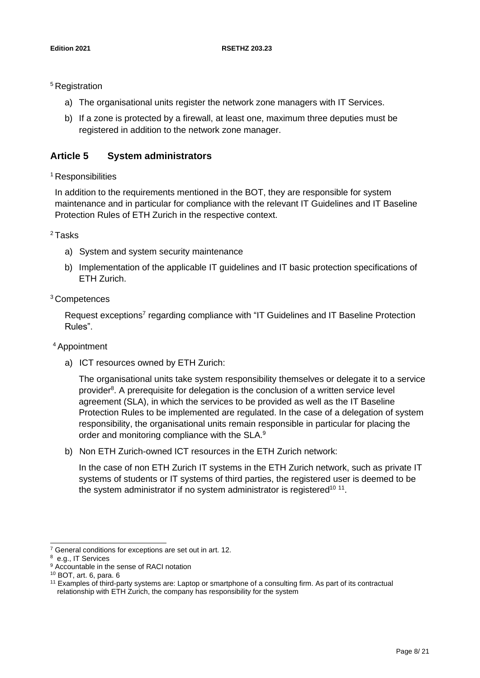<sup>5</sup> Registration

- a) The organisational units register the network zone managers with IT Services.
- b) If a zone is protected by a firewall, at least one, maximum three deputies must be registered in addition to the network zone manager.

### <span id="page-7-0"></span>**Article 5 System administrators**

#### <sup>1</sup> Responsibilities

In addition to the requirements mentioned in the BOT, they are responsible for system maintenance and in particular for compliance with the relevant IT Guidelines and IT Baseline Protection Rules of ETH Zurich in the respective context.

#### <sup>2</sup>Tasks

- a) System and system security maintenance
- b) Implementation of the applicable IT guidelines and IT basic protection specifications of ETH Zurich.

#### <sup>3</sup>Competences

Request exceptions<sup>7</sup> regarding compliance with "IT Guidelines and IT Baseline Protection Rules".

#### <sup>4</sup>Appointment

a) ICT resources owned by ETH Zurich:

The organisational units take system responsibility themselves or delegate it to a service provider<sup>8</sup>. A prerequisite for delegation is the conclusion of a written service level agreement (SLA), in which the services to be provided as well as the IT Baseline Protection Rules to be implemented are regulated. In the case of a delegation of system responsibility, the organisational units remain responsible in particular for placing the order and monitoring compliance with the SLA.<sup>9</sup>

b) Non ETH Zurich-owned ICT resources in the ETH Zurich network:

In the case of non ETH Zurich IT systems in the ETH Zurich network, such as private IT systems of students or IT systems of third parties, the registered user is deemed to be the system administrator if no system administrator is registered<sup>10 11</sup>.

<sup>7</sup> General conditions for exceptions are set out in art. 12.

<sup>8</sup> e.g., IT Services

<sup>&</sup>lt;sup>9</sup> Accountable in the sense of RACI notation

<sup>10</sup> BOT, art. 6, para. 6

<sup>11</sup> Examples of third-party systems are: Laptop or smartphone of a consulting firm. As part of its contractual relationship with ETH Zurich, the company has responsibility for the system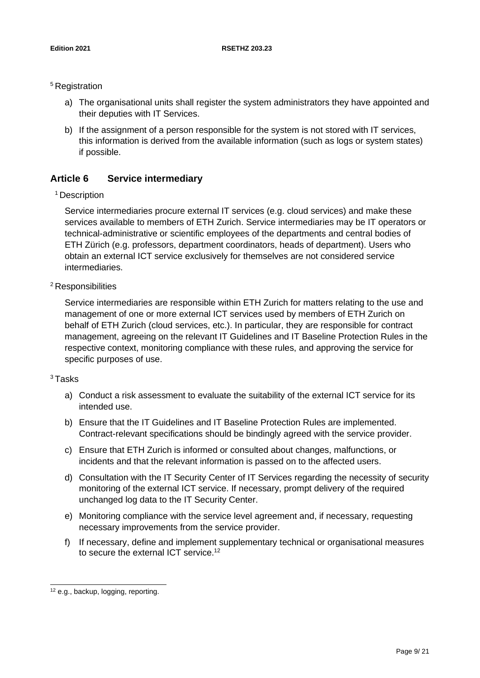#### <sup>5</sup> Registration

- a) The organisational units shall register the system administrators they have appointed and their deputies with IT Services.
- b) If the assignment of a person responsible for the system is not stored with IT services, this information is derived from the available information (such as logs or system states) if possible.

# <span id="page-8-0"></span>**Article 6 Service intermediary**

#### <sup>1</sup> Description

Service intermediaries procure external IT services (e.g. cloud services) and make these services available to members of ETH Zurich. Service intermediaries may be IT operators or technical-administrative or scientific employees of the departments and central bodies of ETH Zürich (e.g. professors, department coordinators, heads of department). Users who obtain an external ICT service exclusively for themselves are not considered service intermediaries.

# <sup>2</sup> Responsibilities

Service intermediaries are responsible within ETH Zurich for matters relating to the use and management of one or more external ICT services used by members of ETH Zurich on behalf of ETH Zurich (cloud services, etc.). In particular, they are responsible for contract management, agreeing on the relevant IT Guidelines and IT Baseline Protection Rules in the respective context, monitoring compliance with these rules, and approving the service for specific purposes of use.

#### <sup>3</sup>Tasks

- a) Conduct a risk assessment to evaluate the suitability of the external ICT service for its intended use.
- b) Ensure that the IT Guidelines and IT Baseline Protection Rules are implemented. Contract-relevant specifications should be bindingly agreed with the service provider.
- c) Ensure that ETH Zurich is informed or consulted about changes, malfunctions, or incidents and that the relevant information is passed on to the affected users.
- d) Consultation with the IT Security Center of IT Services regarding the necessity of security monitoring of the external ICT service. If necessary, prompt delivery of the required unchanged log data to the IT Security Center.
- e) Monitoring compliance with the service level agreement and, if necessary, requesting necessary improvements from the service provider.
- f) If necessary, define and implement supplementary technical or organisational measures to secure the external ICT service.<sup>12</sup>

<sup>&</sup>lt;sup>12</sup> e.g., backup, logging, reporting.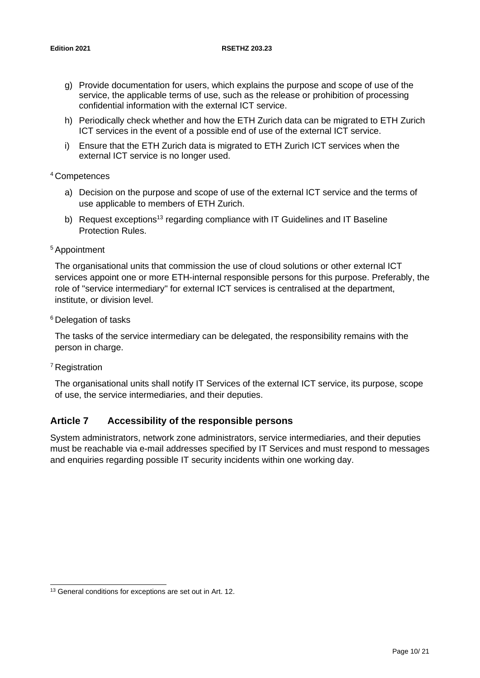- g) Provide documentation for users, which explains the purpose and scope of use of the service, the applicable terms of use, such as the release or prohibition of processing confidential information with the external ICT service.
- h) Periodically check whether and how the ETH Zurich data can be migrated to ETH Zurich ICT services in the event of a possible end of use of the external ICT service.
- i) Ensure that the ETH Zurich data is migrated to ETH Zurich ICT services when the external ICT service is no longer used.

#### <sup>4</sup>Competences

- a) Decision on the purpose and scope of use of the external ICT service and the terms of use applicable to members of ETH Zurich.
- b) Request exceptions<sup>13</sup> regarding compliance with IT Guidelines and IT Baseline Protection Rules.

#### <sup>5</sup>Appointment

The organisational units that commission the use of cloud solutions or other external ICT services appoint one or more ETH-internal responsible persons for this purpose. Preferably, the role of "service intermediary" for external ICT services is centralised at the department, institute, or division level.

#### <sup>6</sup> Delegation of tasks

The tasks of the service intermediary can be delegated, the responsibility remains with the person in charge.

#### <sup>7</sup> Registration

The organisational units shall notify IT Services of the external ICT service, its purpose, scope of use, the service intermediaries, and their deputies.

# <span id="page-9-0"></span>**Article 7 Accessibility of the responsible persons**

System administrators, network zone administrators, service intermediaries, and their deputies must be reachable via e-mail addresses specified by IT Services and must respond to messages and enquiries regarding possible IT security incidents within one working day.

<sup>&</sup>lt;sup>13</sup> General conditions for exceptions are set out in Art. 12.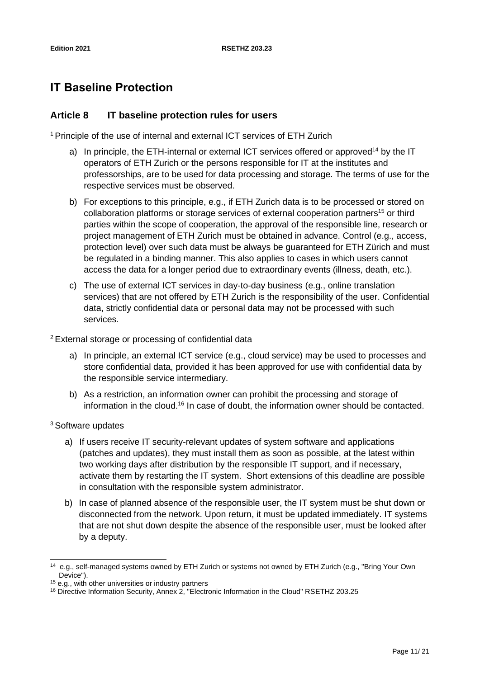# <span id="page-10-0"></span>**IT Baseline Protection**

# <span id="page-10-1"></span>**Article 8 IT baseline protection rules for users**

<sup>1</sup> Principle of the use of internal and external ICT services of ETH Zurich

- a) In principle, the ETH-internal or external ICT services offered or approved<sup>14</sup> by the IT operators of ETH Zurich or the persons responsible for IT at the institutes and professorships, are to be used for data processing and storage. The terms of use for the respective services must be observed.
- b) For exceptions to this principle, e.g., if ETH Zurich data is to be processed or stored on collaboration platforms or storage services of external cooperation partners<sup>15</sup> or third parties within the scope of cooperation, the approval of the responsible line, research or project management of ETH Zurich must be obtained in advance. Control (e.g., access, protection level) over such data must be always be guaranteed for ETH Zürich and must be regulated in a binding manner. This also applies to cases in which users cannot access the data for a longer period due to extraordinary events (illness, death, etc.).
- c) The use of external ICT services in day-to-day business (e.g., online translation services) that are not offered by ETH Zurich is the responsibility of the user. Confidential data, strictly confidential data or personal data may not be processed with such services.

<sup>2</sup>External storage or processing of confidential data

- a) In principle, an external ICT service (e.g., cloud service) may be used to processes and store confidential data, provided it has been approved for use with confidential data by the responsible service intermediary.
- b) As a restriction, an information owner can prohibit the processing and storage of information in the cloud.<sup>16</sup> In case of doubt, the information owner should be contacted.

<sup>3</sup> Software updates

- a) If users receive IT security-relevant updates of system software and applications (patches and updates), they must install them as soon as possible, at the latest within two working days after distribution by the responsible IT support, and if necessary, activate them by restarting the IT system. Short extensions of this deadline are possible in consultation with the responsible system administrator.
- b) In case of planned absence of the responsible user, the IT system must be shut down or disconnected from the network. Upon return, it must be updated immediately. IT systems that are not shut down despite the absence of the responsible user, must be looked after by a deputy.

<sup>14</sup> e.g., self-managed systems owned by ETH Zurich or systems not owned by ETH Zurich (e.g., "Bring Your Own Device").

<sup>&</sup>lt;sup>15</sup> e.g., with other universities or industry partners

<sup>&</sup>lt;sup>16</sup> Directive Information Security, Annex 2, "Electronic Information in the Cloud" RSETHZ 203.25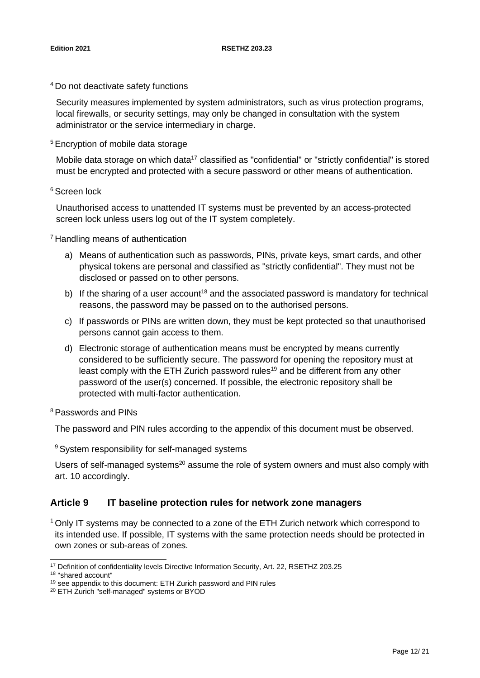<sup>4</sup>Do not deactivate safety functions

Security measures implemented by system administrators, such as virus protection programs, local firewalls, or security settings, may only be changed in consultation with the system administrator or the service intermediary in charge.

<sup>5</sup> Encryption of mobile data storage

Mobile data storage on which data<sup>17</sup> classified as "confidential" or "strictly confidential" is stored must be encrypted and protected with a secure password or other means of authentication.

<sup>6</sup>Screen lock

Unauthorised access to unattended IT systems must be prevented by an access-protected screen lock unless users log out of the IT system completely.

<sup>7</sup> Handling means of authentication

- a) Means of authentication such as passwords, PINs, private keys, smart cards, and other physical tokens are personal and classified as "strictly confidential". They must not be disclosed or passed on to other persons.
- b) If the sharing of a user account<sup>18</sup> and the associated password is mandatory for technical reasons, the password may be passed on to the authorised persons.
- c) If passwords or PINs are written down, they must be kept protected so that unauthorised persons cannot gain access to them.
- d) Electronic storage of authentication means must be encrypted by means currently considered to be sufficiently secure. The password for opening the repository must at least comply with the ETH Zurich password rules<sup>19</sup> and be different from any other password of the user(s) concerned. If possible, the electronic repository shall be protected with multi-factor authentication.

<sup>8</sup>Passwords and PINs

The password and PIN rules according to the appendix of this document must be observed.

<sup>9</sup> System responsibility for self-managed systems

Users of self-managed systems<sup>20</sup> assume the role of system owners and must also comply with art. 10 accordingly.

# <span id="page-11-0"></span>**Article 9 IT baseline protection rules for network zone managers**

<sup>1</sup> Only IT systems may be connected to a zone of the ETH Zurich network which correspond to its intended use. If possible, IT systems with the same protection needs should be protected in own zones or sub-areas of zones.

<sup>&</sup>lt;sup>17</sup> Definition of confidentiality levels Directive Information Security, Art. 22, RSETHZ 203.25

<sup>18</sup> "shared account"

<sup>19</sup> see appendix to this document: ETH Zurich password and PIN rules

<sup>20</sup> ETH Zurich "self-managed" systems or BYOD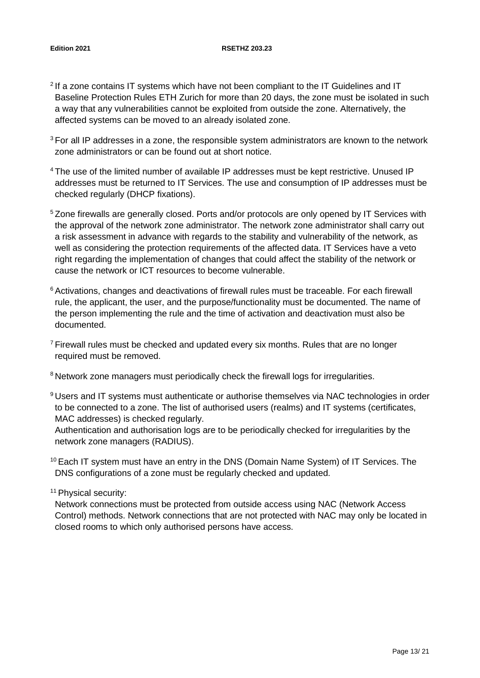#### **Edition 2021 RSETHZ 203.23**

- $2$  If a zone contains IT systems which have not been compliant to the IT Guidelines and IT Baseline Protection Rules ETH Zurich for more than 20 days, the zone must be isolated in such a way that any vulnerabilities cannot be exploited from outside the zone. Alternatively, the affected systems can be moved to an already isolated zone.
- $3$  For all IP addresses in a zone, the responsible system administrators are known to the network zone administrators or can be found out at short notice.
- <sup>4</sup> The use of the limited number of available IP addresses must be kept restrictive. Unused IP addresses must be returned to IT Services. The use and consumption of IP addresses must be checked regularly (DHCP fixations).
- <sup>5</sup> Zone firewalls are generally closed. Ports and/or protocols are only opened by IT Services with the approval of the network zone administrator. The network zone administrator shall carry out a risk assessment in advance with regards to the stability and vulnerability of the network, as well as considering the protection requirements of the affected data. IT Services have a veto right regarding the implementation of changes that could affect the stability of the network or cause the network or ICT resources to become vulnerable.
- <sup>6</sup> Activations, changes and deactivations of firewall rules must be traceable. For each firewall rule, the applicant, the user, and the purpose/functionality must be documented. The name of the person implementing the rule and the time of activation and deactivation must also be documented.
- $7$  Firewall rules must be checked and updated every six months. Rules that are no longer required must be removed.
- <sup>8</sup> Network zone managers must periodically check the firewall logs for irregularities.
- <sup>9</sup> Users and IT systems must authenticate or authorise themselves via NAC technologies in order to be connected to a zone. The list of authorised users (realms) and IT systems (certificates, MAC addresses) is checked regularly.
- Authentication and authorisation logs are to be periodically checked for irregularities by the network zone managers (RADIUS).
- $10$  Each IT system must have an entry in the DNS (Domain Name System) of IT Services. The DNS configurations of a zone must be regularly checked and updated.

<sup>11</sup> Physical security:

Network connections must be protected from outside access using NAC (Network Access Control) methods. Network connections that are not protected with NAC may only be located in closed rooms to which only authorised persons have access.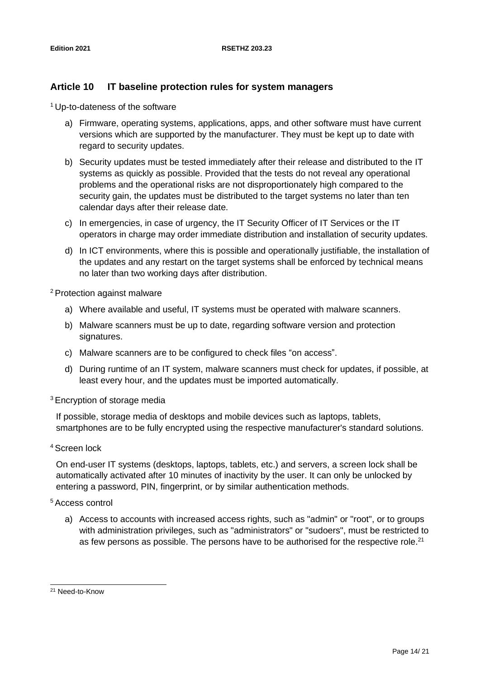# <span id="page-13-0"></span>**Article 10 IT baseline protection rules for system managers**

<sup>1</sup>Up-to-dateness of the software

- a) Firmware, operating systems, applications, apps, and other software must have current versions which are supported by the manufacturer. They must be kept up to date with regard to security updates.
- b) Security updates must be tested immediately after their release and distributed to the IT systems as quickly as possible. Provided that the tests do not reveal any operational problems and the operational risks are not disproportionately high compared to the security gain, the updates must be distributed to the target systems no later than ten calendar days after their release date.
- c) In emergencies, in case of urgency, the IT Security Officer of IT Services or the IT operators in charge may order immediate distribution and installation of security updates.
- d) In ICT environments, where this is possible and operationally justifiable, the installation of the updates and any restart on the target systems shall be enforced by technical means no later than two working days after distribution.

<sup>2</sup> Protection against malware

- a) Where available and useful, IT systems must be operated with malware scanners.
- b) Malware scanners must be up to date, regarding software version and protection signatures.
- c) Malware scanners are to be configured to check files "on access".
- d) During runtime of an IT system, malware scanners must check for updates, if possible, at least every hour, and the updates must be imported automatically.

<sup>3</sup>Encryption of storage media

If possible, storage media of desktops and mobile devices such as laptops, tablets, smartphones are to be fully encrypted using the respective manufacturer's standard solutions.

<sup>4</sup>Screen lock

On end-user IT systems (desktops, laptops, tablets, etc.) and servers, a screen lock shall be automatically activated after 10 minutes of inactivity by the user. It can only be unlocked by entering a password, PIN, fingerprint, or by similar authentication methods.

#### <sup>5</sup>Access control

a) Access to accounts with increased access rights, such as "admin" or "root", or to groups with administration privileges, such as "administrators" or "sudoers", must be restricted to as few persons as possible. The persons have to be authorised for the respective role.<sup>21</sup>

<sup>21</sup> Need-to-Know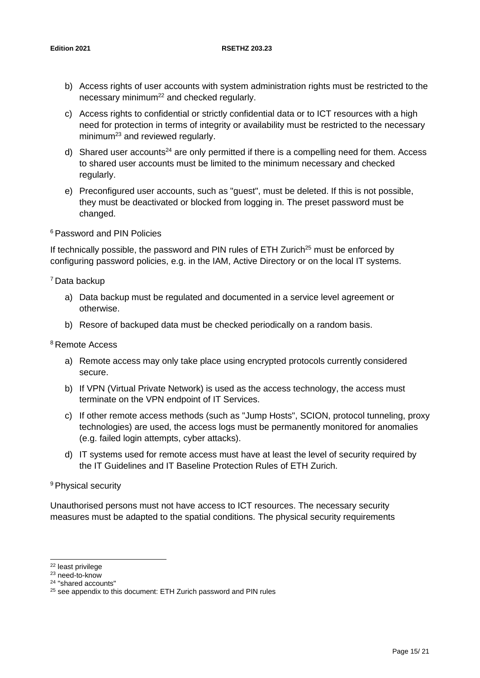#### **Edition 2021 RSETHZ 203.23**

- b) Access rights of user accounts with system administration rights must be restricted to the necessary minimum<sup>22</sup> and checked regularly.
- c) Access rights to confidential or strictly confidential data or to ICT resources with a high need for protection in terms of integrity or availability must be restricted to the necessary minimum<sup>23</sup> and reviewed regularly.
- d) Shared user accounts<sup>24</sup> are only permitted if there is a compelling need for them. Access to shared user accounts must be limited to the minimum necessary and checked regularly.
- e) Preconfigured user accounts, such as "guest", must be deleted. If this is not possible, they must be deactivated or blocked from logging in. The preset password must be changed.

#### <sup>6</sup>Password and PIN Policies

If technically possible, the password and PIN rules of ETH Zurich<sup>25</sup> must be enforced by configuring password policies, e.g. in the IAM, Active Directory or on the local IT systems.

<sup>7</sup>Data backup

- a) Data backup must be regulated and documented in a service level agreement or otherwise.
- b) Resore of backuped data must be checked periodically on a random basis.

<sup>8</sup>Remote Access

- a) Remote access may only take place using encrypted protocols currently considered secure.
- b) If VPN (Virtual Private Network) is used as the access technology, the access must terminate on the VPN endpoint of IT Services.
- c) If other remote access methods (such as "Jump Hosts", SCION, protocol tunneling, proxy technologies) are used, the access logs must be permanently monitored for anomalies (e.g. failed login attempts, cyber attacks).
- d) IT systems used for remote access must have at least the level of security required by the IT Guidelines and IT Baseline Protection Rules of ETH Zurich.

#### <sup>9</sup> Physical security

Unauthorised persons must not have access to ICT resources. The necessary security measures must be adapted to the spatial conditions. The physical security requirements

<sup>22</sup> least privilege

<sup>23</sup> need-to-know

<sup>24</sup> "shared accounts"

<sup>&</sup>lt;sup>25</sup> see appendix to this document: ETH Zurich password and PIN rules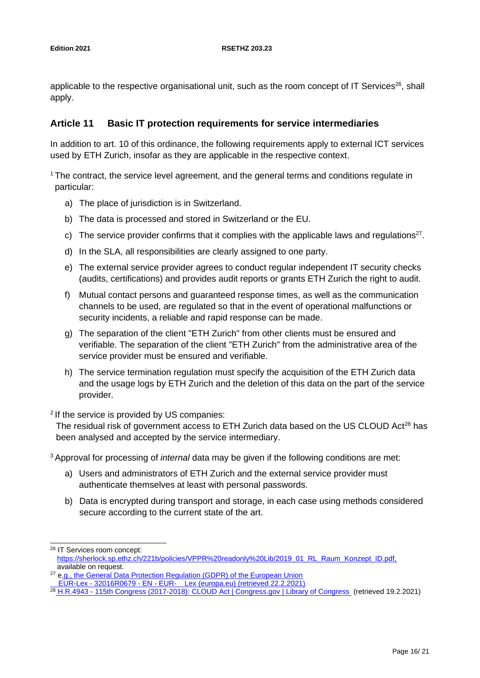applicable to the respective organisational unit, such as the room concept of IT Services $26$ , shall apply.

# <span id="page-15-0"></span>**Article 11 Basic IT protection requirements for service intermediaries**

In addition to art. 10 of this ordinance, the following requirements apply to external ICT services used by ETH Zurich, insofar as they are applicable in the respective context.

<sup>1</sup> The contract, the service level agreement, and the general terms and conditions regulate in particular:

- a) The place of jurisdiction is in Switzerland.
- b) The data is processed and stored in Switzerland or the EU.
- c) The service provider confirms that it complies with the applicable laws and regulations<sup>27</sup>.
- d) In the SLA, all responsibilities are clearly assigned to one party.
- e) The external service provider agrees to conduct regular independent IT security checks (audits, certifications) and provides audit reports or grants ETH Zurich the right to audit.
- f) Mutual contact persons and guaranteed response times, as well as the communication channels to be used, are regulated so that in the event of operational malfunctions or security incidents, a reliable and rapid response can be made.
- g) The separation of the client "ETH Zurich" from other clients must be ensured and verifiable. The separation of the client "ETH Zurich" from the administrative area of the service provider must be ensured and verifiable.
- h) The service termination regulation must specify the acquisition of the ETH Zurich data and the usage logs by ETH Zurich and the deletion of this data on the part of the service provider.

<sup>2</sup> If the service is provided by US companies:

The residual risk of government access to ETH Zurich data based on the US CLOUD Act<sup>28</sup> has been analysed and accepted by the service intermediary.

<sup>3</sup> Approval for processing of *internal* data may be given if the following conditions are met:

- a) Users and administrators of ETH Zurich and the external service provider must authenticate themselves at least with personal passwords.
- b) Data is encrypted during transport and storage, in each case using methods considered secure according to the current state of the art.

<sup>26</sup> IT Services room concept: [https://sherlock.sp.ethz.ch/221b/policies/VPPR%20readonly%20Lib/2019\\_01\\_RL\\_Raum\\_Konzept\\_ID.pdf,](https://sherlock.sp.ethz.ch/221b/policies/VPPR%20readonly%20Lib/2019_01_RL_Raum_Konzept_ID.pdf,)  available on request.

<sup>&</sup>lt;sup>27</sup> e.g., the General Data Protection Regulation (GDPR) of the European Union

EUR-Lex - 32016R0679 - EN - [EUR- Lex \(europa.eu\) \(](https://eur-lex.europa.eu/legal-content/DE/TXT/?uri=CELEX%3A32016R0679)retrieved 22.2.2021)

<sup>&</sup>lt;sup>28</sup> H.R.4943 - [115th Congress \(2017-2018\): CLOUD Act | Congress.gov | Library of Congress](https://www.congress.gov/bill/115th-congress/house-bill/4943) (retrieved 19.2.2021)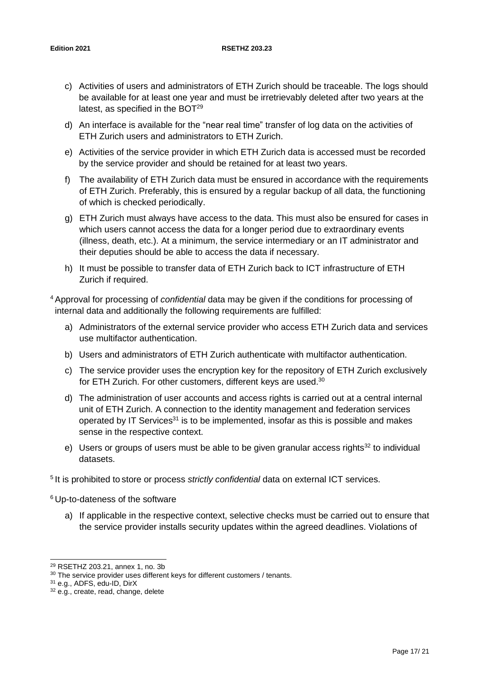- c) Activities of users and administrators of ETH Zurich should be traceable. The logs should be available for at least one year and must be irretrievably deleted after two years at the latest, as specified in the  $BOT<sup>29</sup>$
- d) An interface is available for the "near real time" transfer of log data on the activities of ETH Zurich users and administrators to ETH Zurich.
- e) Activities of the service provider in which ETH Zurich data is accessed must be recorded by the service provider and should be retained for at least two years.
- f) The availability of ETH Zurich data must be ensured in accordance with the requirements of ETH Zurich. Preferably, this is ensured by a regular backup of all data, the functioning of which is checked periodically.
- g) ETH Zurich must always have access to the data. This must also be ensured for cases in which users cannot access the data for a longer period due to extraordinary events (illness, death, etc.). At a minimum, the service intermediary or an IT administrator and their deputies should be able to access the data if necessary.
- h) It must be possible to transfer data of ETH Zurich back to ICT infrastructure of ETH Zurich if required.

<sup>4</sup>Approval for processing of *confidential* data may be given if the conditions for processing of internal data and additionally the following requirements are fulfilled:

- a) Administrators of the external service provider who access ETH Zurich data and services use multifactor authentication.
- b) Users and administrators of ETH Zurich authenticate with multifactor authentication.
- c) The service provider uses the encryption key for the repository of ETH Zurich exclusively for ETH Zurich. For other customers, different keys are used.<sup>30</sup>
- d) The administration of user accounts and access rights is carried out at a central internal unit of ETH Zurich. A connection to the identity management and federation services operated by IT Services<sup>31</sup> is to be implemented, insofar as this is possible and makes sense in the respective context.
- e) Users or groups of users must be able to be given granular access rights<sup>32</sup> to individual datasets.

<sup>5</sup>It is prohibited to store or process *strictly confidential* data on external ICT services.

<sup>6</sup>Up-to-dateness of the software

a) If applicable in the respective context, selective checks must be carried out to ensure that the service provider installs security updates within the agreed deadlines. Violations of

<sup>29</sup> RSETHZ 203.21, annex 1, no. 3b

<sup>&</sup>lt;sup>30</sup> The service provider uses different keys for different customers / tenants.

<sup>31</sup> e.g., ADFS, edu-ID, DirX

<sup>&</sup>lt;sup>32</sup> e.g., create, read, change, delete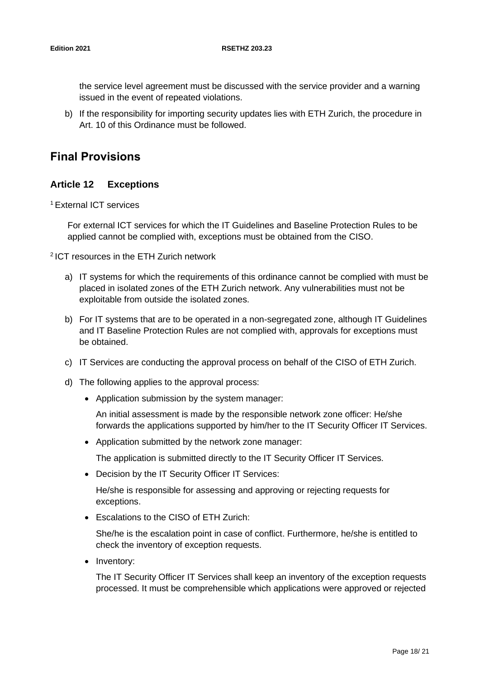the service level agreement must be discussed with the service provider and a warning issued in the event of repeated violations.

b) If the responsibility for importing security updates lies with ETH Zurich, the procedure in Art. 10 of this Ordinance must be followed.

# <span id="page-17-1"></span><span id="page-17-0"></span>**Final Provisions**

# **Article 12 Exceptions**

<sup>1</sup>External ICT services

For external ICT services for which the IT Guidelines and Baseline Protection Rules to be applied cannot be complied with, exceptions must be obtained from the CISO.

<sup>2</sup>ICT resources in the ETH Zurich network

- a) IT systems for which the requirements of this ordinance cannot be complied with must be placed in isolated zones of the ETH Zurich network. Any vulnerabilities must not be exploitable from outside the isolated zones.
- b) For IT systems that are to be operated in a non-segregated zone, although IT Guidelines and IT Baseline Protection Rules are not complied with, approvals for exceptions must be obtained.
- c) IT Services are conducting the approval process on behalf of the CISO of ETH Zurich.
- d) The following applies to the approval process:
	- Application submission by the system manager:

An initial assessment is made by the responsible network zone officer: He/she forwards the applications supported by him/her to the IT Security Officer IT Services.

• Application submitted by the network zone manager:

The application is submitted directly to the IT Security Officer IT Services.

• Decision by the IT Security Officer IT Services:

He/she is responsible for assessing and approving or rejecting requests for exceptions.

• Escalations to the CISO of ETH Zurich:

She/he is the escalation point in case of conflict. Furthermore, he/she is entitled to check the inventory of exception requests.

• Inventory:

The IT Security Officer IT Services shall keep an inventory of the exception requests processed. It must be comprehensible which applications were approved or rejected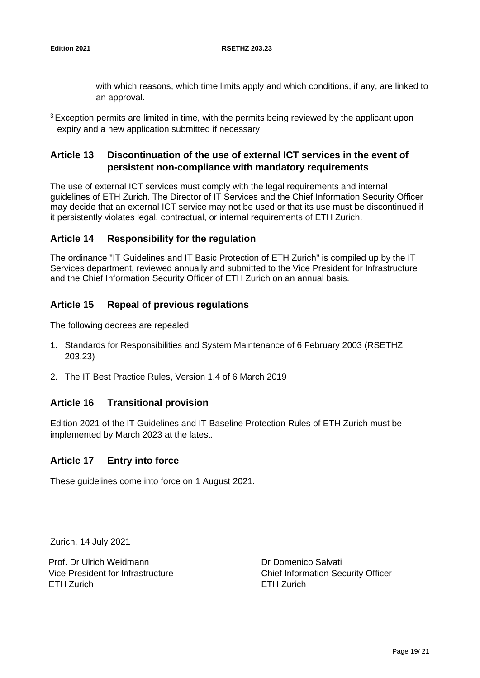with which reasons, which time limits apply and which conditions, if any, are linked to an approval.

 $3$  Exception permits are limited in time, with the permits being reviewed by the applicant upon expiry and a new application submitted if necessary.

# <span id="page-18-0"></span>**Article 13 Discontinuation of the use of external ICT services in the event of persistent non-compliance with mandatory requirements**

The use of external ICT services must comply with the legal requirements and internal guidelines of ETH Zurich. The Director of IT Services and the Chief Information Security Officer may decide that an external ICT service may not be used or that its use must be discontinued if it persistently violates legal, contractual, or internal requirements of ETH Zurich.

# <span id="page-18-1"></span>**Article 14 Responsibility for the regulation**

The ordinance "IT Guidelines and IT Basic Protection of ETH Zurich" is compiled up by the IT Services department, reviewed annually and submitted to the Vice President for Infrastructure and the Chief Information Security Officer of ETH Zurich on an annual basis.

# <span id="page-18-2"></span>**Article 15 Repeal of previous regulations**

The following decrees are repealed:

- 1. Standards for Responsibilities and System Maintenance of 6 February 2003 (RSETHZ 203.23)
- <span id="page-18-3"></span>2. The IT Best Practice Rules, Version 1.4 of 6 March 2019

# **Article 16 Transitional provision**

Edition 2021 of the IT Guidelines and IT Baseline Protection Rules of ETH Zurich must be implemented by March 2023 at the latest.

#### <span id="page-18-4"></span>**Article 17 Entry into force**

These guidelines come into force on 1 August 2021.

Zurich, 14 July 2021

Prof. Dr Ulrich Weidmann Vice President for Infrastructure ETH Zurich

Dr Domenico Salvati Chief Information Security Officer ETH Zurich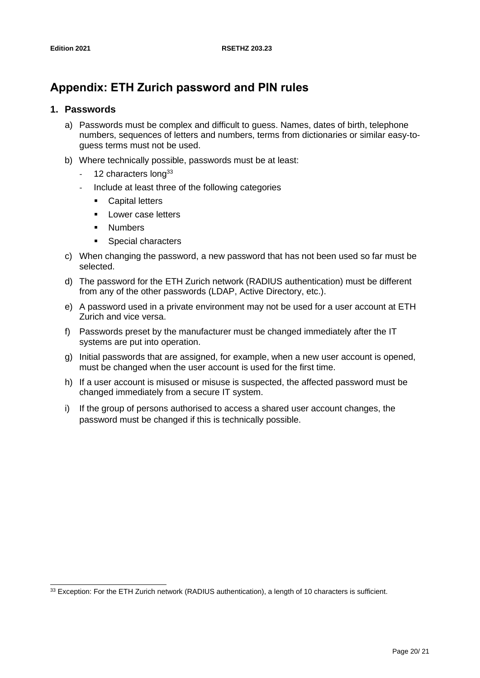# <span id="page-19-0"></span>**Appendix: ETH Zurich password and PIN rules**

### <span id="page-19-1"></span>**1. Passwords**

- a) Passwords must be complex and difficult to guess. Names, dates of birth, telephone numbers, sequences of letters and numbers, terms from dictionaries or similar easy-toguess terms must not be used.
- b) Where technically possible, passwords must be at least:
	- 12 characters  $\sqrt{12}$
	- Include at least three of the following categories
		- Capital letters
		- Lower case letters
		- Numbers
		- Special characters
- c) When changing the password, a new password that has not been used so far must be selected.
- d) The password for the ETH Zurich network (RADIUS authentication) must be different from any of the other passwords (LDAP, Active Directory, etc.).
- e) A password used in a private environment may not be used for a user account at ETH Zurich and vice versa.
- f) Passwords preset by the manufacturer must be changed immediately after the IT systems are put into operation.
- g) Initial passwords that are assigned, for example, when a new user account is opened, must be changed when the user account is used for the first time.
- h) If a user account is misused or misuse is suspected, the affected password must be changed immediately from a secure IT system.
- i) If the group of persons authorised to access a shared user account changes, the password must be changed if this is technically possible.

<sup>33</sup> Exception: For the ETH Zurich network (RADIUS authentication), a length of 10 characters is sufficient.